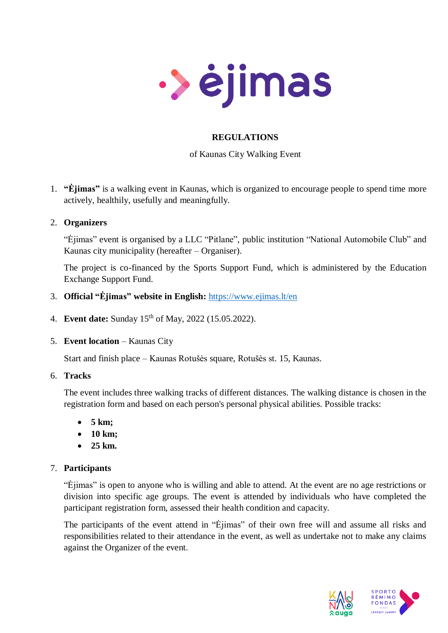

# **REGULATIONS**

## of Kaunas City Walking Event

1. **"Ėjimas"** is a walking event in Kaunas, which is organized to encourage people to spend time more actively, healthily, usefully and meaningfully.

### 2. **Organizers**

"Ėjimas" event is organised by a LLC "Pitlane", public institution "National Automobile Club" and Kaunas city municipality (hereafter – Organiser).

The project is co-financed by the Sports Support Fund, which is administered by the Education Exchange Support Fund.

- 3. **Official "Ėjimas" website in English:** <https://www.ejimas.lt/en>
- 4. **Event date:** Sunday 15 th of May, 2022 (15.05.2022).
- 5. **Event location** Kaunas City

Start and finish place – Kaunas Rotušės square, Rotušės st. 15, Kaunas.

6. **Tracks**

The event includes three walking tracks of different distances. The walking distance is chosen in the registration form and based on each person's personal physical abilities. Possible tracks:

- **5 km;**
- **10 km;**
- **25 km.**

## 7. **Participants**

"Ėjimas" is open to anyone who is willing and able to attend. At the event are no age restrictions or division into specific age groups. The event is attended by individuals who have completed the participant registration form, assessed their health condition and capacity.

The participants of the event attend in "Eilmas" of their own free will and assume all risks and responsibilities related to their attendance in the event, as well as undertake not to make any claims against the Organizer of the event.

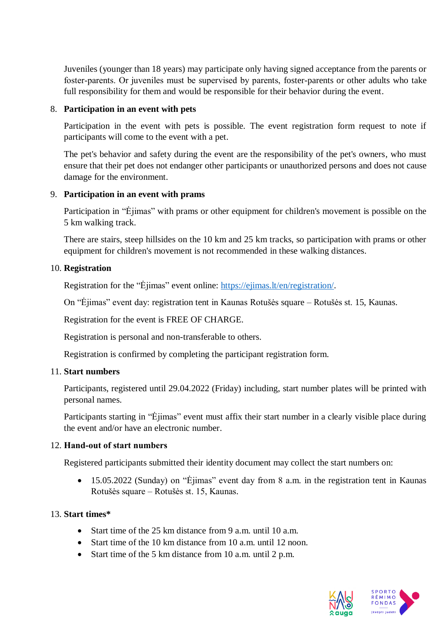Juveniles (younger than 18 years) may participate only having signed acceptance from the parents or foster-parents. Or juveniles must be supervised by parents, foster-parents or other adults who take full responsibility for them and would be responsible for their behavior during the event.

### 8. **Participation in an event with pets**

Participation in the event with pets is possible. The event registration form request to note if participants will come to the event with a pet.

The pet's behavior and safety during the event are the responsibility of the pet's owners, who must ensure that their pet does not endanger other participants or unauthorized persons and does not cause damage for the environment.

### 9. **Participation in an event with prams**

Participation in "Ėjimas" with prams or other equipment for children's movement is possible on the 5 km walking track.

There are stairs, steep hillsides on the 10 km and 25 km tracks, so participation with prams or other equipment for children's movement is not recommended in these walking distances.

### 10. **Registration**

Registration for the "Ėjimas" event online: [https://ejimas.lt/en/registration/.](https://ejimas.lt/en/registration/)

On "Ėjimas" event day: registration tent in Kaunas Rotušės square – Rotušės st. 15, Kaunas.

Registration for the event is FREE OF CHARGE.

Registration is personal and non-transferable to others.

Registration is confirmed by completing the participant registration form.

#### 11. **Start numbers**

Participants, registered until 29.04.2022 (Friday) including, start number plates will be printed with personal names.

Participants starting in "Ėjimas" event must affix their start number in a clearly visible place during the event and/or have an electronic number.

#### 12. **Hand‐out of start numbers**

Registered participants submitted their identity document may collect the start numbers on:

 15.05.2022 (Sunday) on "Ėjimas" event day from 8 a.m. in the registration tent in Kaunas Rotušės square – Rotušės st. 15, Kaunas.

## 13. **Start times\***

- Start time of the 25 km distance from 9 a.m. until 10 a.m.
- Start time of the 10 km distance from 10 a.m. until 12 noon.
- Start time of the 5 km distance from 10 a.m. until 2 p.m.

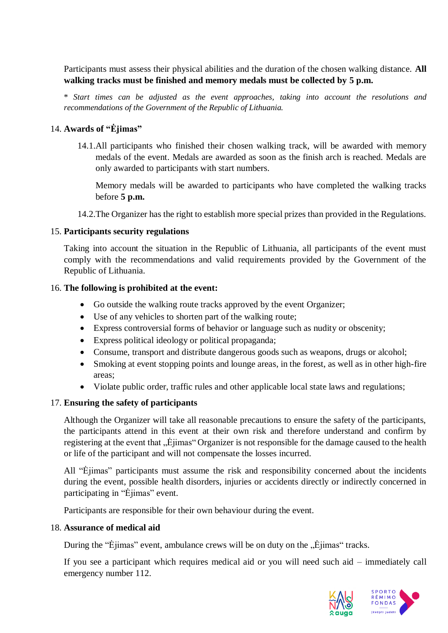Participants must assess their physical abilities and the duration of the chosen walking distance. **All walking tracks must be finished and memory medals must be collected by 5 p.m.**

\* *Start times can be adjusted as the event approaches, taking into account the resolutions and recommendations of the Government of the Republic of Lithuania.*

## 14. **Awards of "Ėjimas"**

14.1.All participants who finished their chosen walking track, will be awarded with memory medals of the event. Medals are awarded as soon as the finish arch is reached. Medals are only awarded to participants with start numbers.

Memory medals will be awarded to participants who have completed the walking tracks before **5 p.m.**

14.2.The Organizer has the right to establish more special prizes than provided in the Regulations.

### 15. **Participants security regulations**

Taking into account the situation in the Republic of Lithuania, all participants of the event must comply with the recommendations and valid requirements provided by the Government of the Republic of Lithuania.

### 16. **The following is prohibited at the event:**

- Go outside the walking route tracks approved by the event Organizer;
- Use of any vehicles to shorten part of the walking route;
- Express controversial forms of behavior or language such as nudity or obscenity;
- Express political ideology or political propaganda;
- Consume, transport and distribute dangerous goods such as weapons, drugs or alcohol;
- Smoking at event stopping points and lounge areas, in the forest, as well as in other high-fire areas;
- Violate public order, traffic rules and other applicable local state laws and regulations;

## 17. **Ensuring the safety of participants**

Although the Organizer will take all reasonable precautions to ensure the safety of the participants, the participants attend in this event at their own risk and therefore understand and confirm by registering at the event that "Ëjimas" Organizer is not responsible for the damage caused to the health or life of the participant and will not compensate the losses incurred.

All "Ėjimas" participants must assume the risk and responsibility concerned about the incidents during the event, possible health disorders, injuries or accidents directly or indirectly concerned in participating in "Ėjimas" event.

Participants are responsible for their own behaviour during the event.

#### 18. **Assurance of medical aid**

During the "Ėjimas" event, ambulance crews will be on duty on the  $\ddot{\psi}$ , Ejimas" tracks.

If you see a participant which requires medical aid or you will need such aid – immediately call emergency number 112.